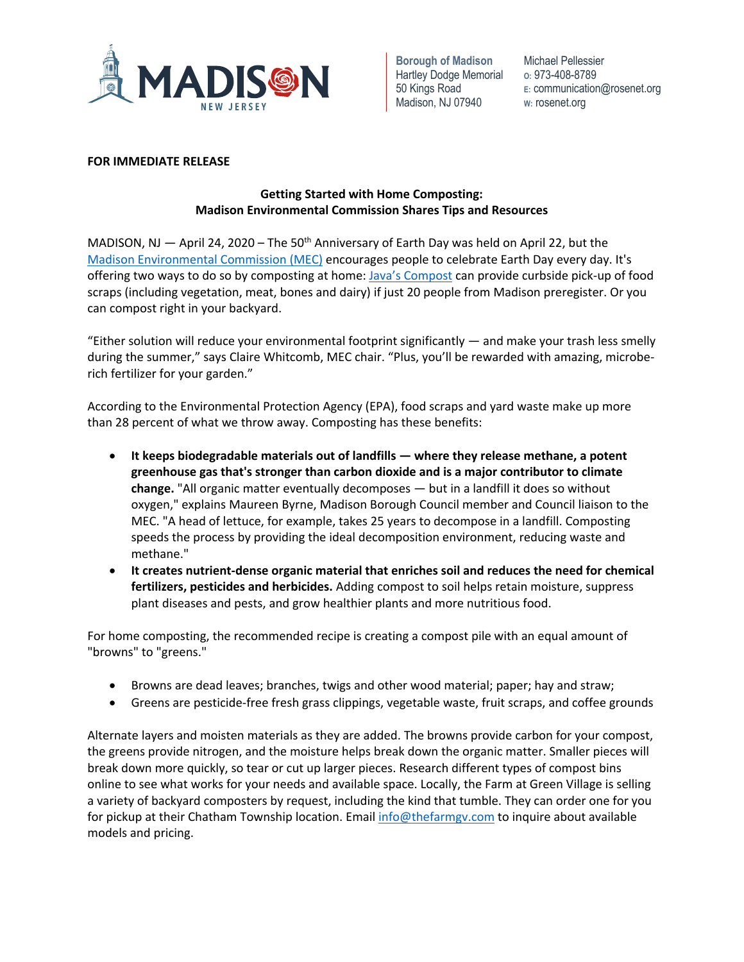

**Borough of Madison**  Hartley Dodge Memorial 50 Kings Road Madison, NJ 07940

Michael Pellessier **O:** 973-408-8789 **E:** communication@rosenet.org **W:** rosenet.org

# **FOR IMMEDIATE RELEASE**

# **Getting Started with Home Composting: Madison Environmental Commission Shares Tips and Resources**

MADISON, NJ  $-$  April 24, 2020 – The 50<sup>th</sup> Anniversary of Earth Day was held on April 22, but the Madison Environmental Commission (MEC) encourages people to celebrate Earth Day every day. It's offering two ways to do so by composting at home: Java's Compost can provide curbside pick-up of food scraps (including vegetation, meat, bones and dairy) if just 20 people from Madison preregister. Or you can compost right in your backyard.

"Either solution will reduce your environmental footprint significantly — and make your trash less smelly during the summer," says Claire Whitcomb, MEC chair. "Plus, you'll be rewarded with amazing, microberich fertilizer for your garden."

According to the Environmental Protection Agency (EPA), food scraps and yard waste make up more than 28 percent of what we throw away. Composting has these benefits:

- **It keeps biodegradable materials out of landfills — where they release methane, a potent greenhouse gas that's stronger than carbon dioxide and is a major contributor to climate change.** "All organic matter eventually decomposes — but in a landfill it does so without oxygen," explains Maureen Byrne, Madison Borough Council member and Council liaison to the MEC. "A head of lettuce, for example, takes 25 years to decompose in a landfill. Composting speeds the process by providing the ideal decomposition environment, reducing waste and methane."
- **It creates nutrient-dense organic material that enriches soil and reduces the need for chemical fertilizers, pesticides and herbicides.** Adding compost to soil helps retain moisture, suppress plant diseases and pests, and grow healthier plants and more nutritious food.

For home composting, the recommended recipe is creating a compost pile with an equal amount of "browns" to "greens."

- Browns are dead leaves; branches, twigs and other wood material; paper; hay and straw;
- Greens are pesticide-free fresh grass clippings, vegetable waste, fruit scraps, and coffee grounds

Alternate layers and moisten materials as they are added. The browns provide carbon for your compost, the greens provide nitrogen, and the moisture helps break down the organic matter. Smaller pieces will break down more quickly, so tear or cut up larger pieces. Research different types of compost bins online to see what works for your needs and available space. Locally, the Farm at Green Village is selling a variety of backyard composters by request, including the kind that tumble. They can order one for you for pickup at their Chatham Township location. Email info@thefarmgv.com to inquire about available models and pricing.